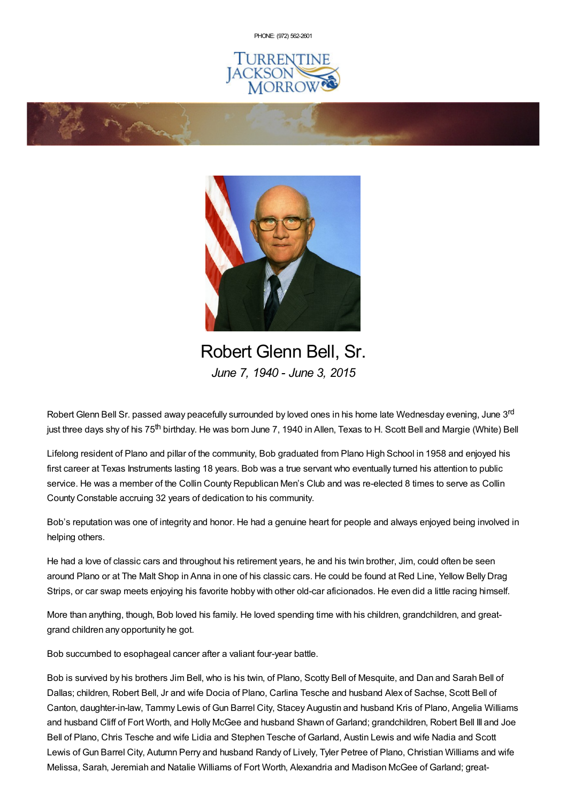PHONE: (972) [562-2601](tel:(972) 562-2601)







Robert Glenn Bell, Sr. *June 7, 1940 - June 3, 2015*

Robert Glenn Bell Sr. passed away peacefully surrounded by loved ones in his home late Wednesday evening, June 3<sup>rd</sup> just three days shy of his 75<sup>th</sup> birthday. He was born June 7, 1940 in Allen, Texas to H. Scott Bell and Margie (White) Bell

Lifelong resident of Plano and pillar of the community, Bob graduated from Plano High School in 1958 and enjoyed his first career at Texas Instruments lasting 18 years. Bob was a true servant who eventually turned his attention to public service. He was a member of the Collin County Republican Men's Club and was re-elected 8 times to serve as Collin County Constable accruing 32 years of dedication to his community.

Bob's reputation was one of integrity and honor. He had a genuine heart for people and always enjoyed being involved in helping others.

He had a love of classic cars and throughout his retirement years, he and his twin brother, Jim, could often be seen around Plano or at The Malt Shop in Anna in one of his classic cars. He could be found at Red Line, Yellow Belly Drag Strips, or car swap meets enjoying his favorite hobby with other old-car aficionados. He even did a little racing himself.

More than anything, though, Bob loved his family. He loved spending time with his children, grandchildren, and greatgrand children any opportunity he got.

Bob succumbed to esophageal cancer after a valiant four-year battle.

Bob is survived by his brothers Jim Bell, who is his twin, of Plano, Scotty Bell of Mesquite, and Dan and Sarah Bell of Dallas; children, Robert Bell, Jr and wife Docia of Plano, Carlina Tesche and husband Alex of Sachse, Scott Bell of Canton, daughter-in-law, Tammy Lewis of Gun Barrel City, Stacey Augustin and husband Kris of Plano, Angelia Williams and husband Cliff of Fort Worth, and Holly McGee and husband Shawn of Garland; grandchildren, Robert Bell III and Joe Bell of Plano, Chris Tesche and wife Lidia and Stephen Tesche of Garland, Austin Lewis and wife Nadia and Scott Lewis of Gun Barrel City, Autumn Perry and husband Randy of Lively, Tyler Petree of Plano, Christian Williams and wife Melissa, Sarah, Jeremiah and Natalie Williams of Fort Worth, Alexandria and Madison McGee of Garland; great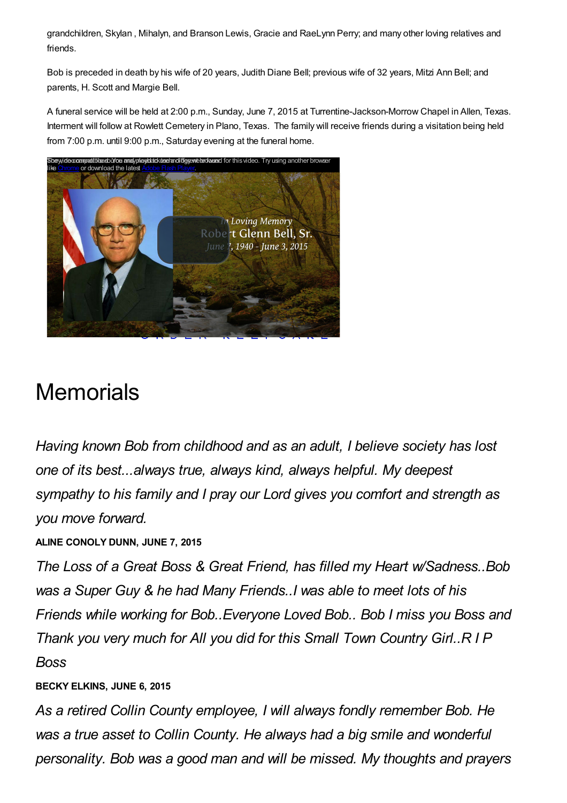grandchildren, Skylan , Mihalyn, and Branson Lewis, Gracie and RaeLynn Perry; and many other loving relatives and friends.

Bob is preceded in death by his wife of 20 years, Judith Diane Bell; previous wife of 32 years, Mitzi Ann Bell; and parents, H. Scott and Margie Bell.

A funeral service will be held at 2:00 p.m., Sunday, June 7, 2015 at Turrentine-Jackson-Morrow Chapel in Allen, Texas. Interment will follow at Rowlett Cemetery in Plano, Texas. The family will receive friends during a visitation being held from 7:00 p.m. until 9:00 p.m., Saturday evening at the funeral home.



# **Memorials**

*Having known Bob from childhood and as an adult, I believe society has lost one of its best...always true, always kind, always helpful. My deepest sympathy to his family and I pray our Lord gives you comfort and strength as you move forward.*

**ALINE CONOLY DUNN, JUNE 7, 2015**

*The Loss of a Great Boss & Great Friend, has filled my Heart w/Sadness..Bob was a Super Guy & he had Many Friends..I was able to meet lots of his Friends while working for Bob..Everyone Loved Bob.. Bob I miss you Boss and Thank you very much for All you did for this Small Town Country Girl..R I P Boss*

### **BECKY ELKINS, JUNE 6, 2015**

*As a retired Collin County employee, I will always fondly remember Bob. He was a true asset to Collin County. He always had a big smile and wonderful personality. Bob was a good man and will be missed. My thoughts and prayers*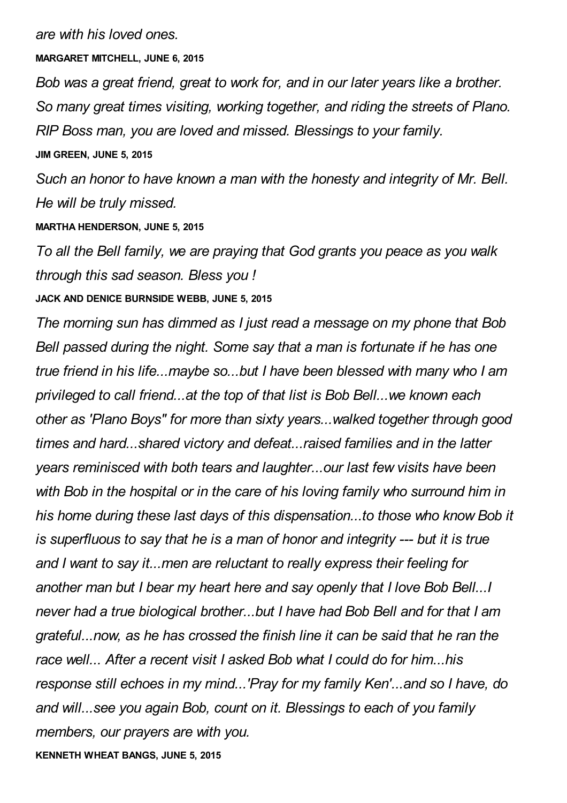*are with his loved ones.*

**MARGARET MITCHELL, JUNE 6, 2015**

*Bob was a great friend, great to work for, and in our later years like a brother. So many great times visiting, working together, and riding the streets of Plano. RIP Boss man, you are loved and missed. Blessings to your family.* **JIM GREEN, JUNE 5, 2015**

*Such an honor to have known a man with the honesty and integrity of Mr. Bell. He will be truly missed.*

**MARTHA HENDERSON, JUNE 5, 2015**

*To all the Bell family, we are praying that God grants you peace as you walk through this sad season. Bless you !*

**JACK AND DENICE BURNSIDE WEBB, JUNE 5, 2015**

*The morning sun has dimmed as I just read a message on my phone that Bob Bell passed during the night. Some say that a man is fortunate if he has one true friend in his life...maybe so...but I have been blessed with many who I am privileged to call friend...at the top of that list is Bob Bell...we known each other as 'Plano Boys" for more than sixty years...walked together through good times and hard...shared victory and defeat...raised families and in the latter years reminisced with both tears and laughter...our last few visits have been with Bob in the hospital or in the care of his loving family who surround him in his home during these last days of this dispensation...to those who know Bob it is superfluous to say that he is a man of honor and integrity --- but it is true and I want to say it...men are reluctant to really express their feeling for another man but I bear my heart here and say openly that I love Bob Bell...I never had a true biological brother...but I have had Bob Bell and for that I am grateful...now, as he has crossed the finish line it can be said that he ran the race well... After a recent visit I asked Bob what I could do for him...his response still echoes in my mind...'Pray for my family Ken'...and so I have, do and will...see you again Bob, count on it. Blessings to each of you family members, our prayers are with you.*